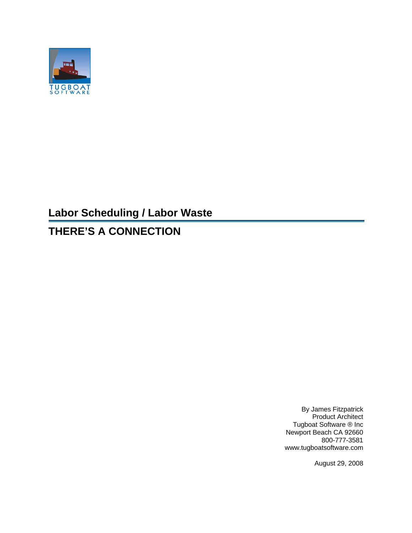

# **Labor Scheduling / Labor Waste**

# **THERE'S A CONNECTION**

By James Fitzpatrick Product Architect Tugboat Software ® Inc Newport Beach CA 92660 800-777-3581 www.tugboatsoftware.com

August 29, 2008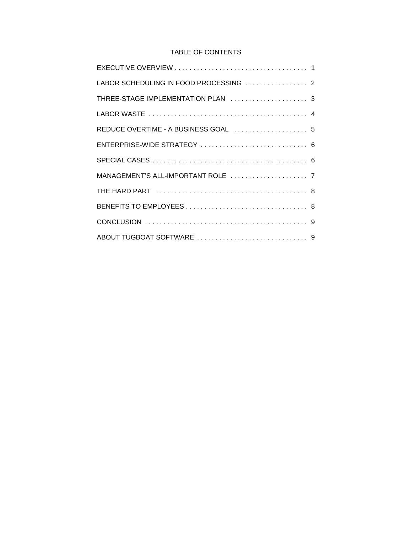# TABLE OF CONTENTS

| LABOR SCHEDULING IN FOOD PROCESSING  2 |
|----------------------------------------|
| THREE-STAGE IMPLEMENTATION PLAN  3     |
|                                        |
|                                        |
|                                        |
|                                        |
|                                        |
|                                        |
|                                        |
|                                        |
|                                        |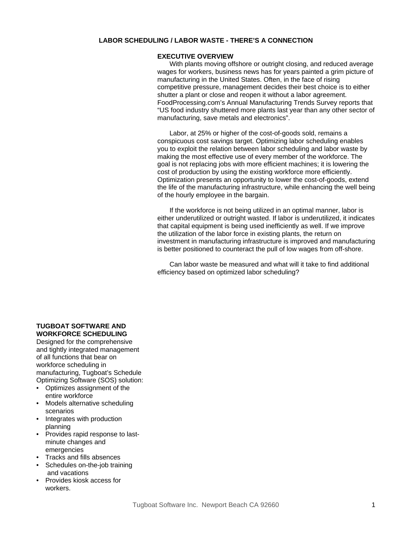#### **EXECUTIVE OVERVIEW**

With plants moving offshore or outright closing, and reduced average wages for workers, business news has for years painted a grim picture of manufacturing in the United States. Often, in the face of rising competitive pressure, management decides their best choice is to either shutter a plant or close and reopen it without a labor agreement. FoodProcessing.com's Annual Manufacturing Trends Survey reports that "US food industry shuttered more plants last year than any other sector of manufacturing, save metals and electronics".

Labor, at 25% or higher of the cost-of-goods sold, remains a conspicuous cost savings target. Optimizing labor scheduling enables you to exploit the relation between labor scheduling and labor waste by making the most effective use of every member of the workforce. The goal is not replacing jobs with more efficient machines; it is lowering the cost of production by using the existing workforce more efficiently. Optimization presents an opportunity to lower the cost-of-goods, extend the life of the manufacturing infrastructure, while enhancing the well being of the hourly employee in the bargain.

If the workforce is not being utilized in an optimal manner, labor is either underutilized or outright wasted. If labor is underutilized, it indicates that capital equipment is being used inefficiently as well. If we improve the utilization of the labor force in existing plants, the return on investment in manufacturing infrastructure is improved and manufacturing is better positioned to counteract the pull of low wages from off-shore.

Can labor waste be measured and what will it take to find additional efficiency based on optimized labor scheduling?

# **TUGBOAT SOFTWARE AND WORKFORCE SCHEDULING**

Designed for the comprehensive and tightly integrated management of all functions that bear on workforce scheduling in manufacturing, Tugboat's Schedule Optimizing Software (SOS) solution:

- Optimizes assignment of the entire workforce
- Models alternative scheduling scenarios
- Integrates with production planning
- Provides rapid response to lastminute changes and emergencies
- Tracks and fills absences
- Schedules on-the-job training and vacations
- Provides kiosk access for workers.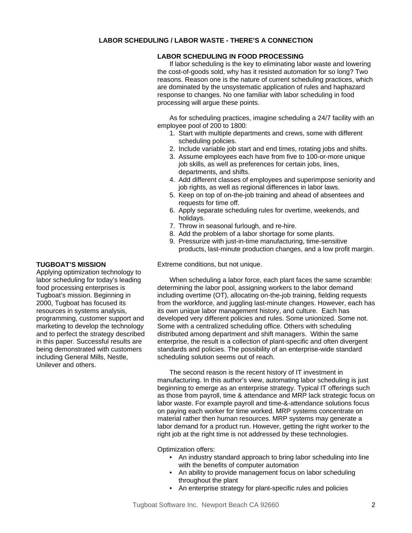#### **LABOR SCHEDULING IN FOOD PROCESSING**

If labor scheduling is the key to eliminating labor waste and lowering the cost-of-goods sold, why has it resisted automation for so long? Two reasons. Reason one is the nature of current scheduling practices, which are dominated by the unsystematic application of rules and haphazard response to changes. No one familiar with labor scheduling in food processing will argue these points.

As for scheduling practices, imagine scheduling a 24/7 facility with an employee pool of 200 to 1800:

- 1. Start with multiple departments and crews, some with different scheduling policies.
- 2. Include variable job start and end times, rotating jobs and shifts.
- 3. Assume employees each have from five to 100-or-more unique job skills, as well as preferences for certain jobs, lines, departments, and shifts.
- 4. Add different classes of employees and superimpose seniority and job rights, as well as regional differences in labor laws.
- 5. Keep on top of on-the-job training and ahead of absentees and requests for time off.
- 6. Apply separate scheduling rules for overtime, weekends, and holidays.
- 7. Throw in seasonal furlough, and re-hire.
- 8. Add the problem of a labor shortage for some plants.
- 9. Pressurize with just-in-time manufacturing, time-sensitive products, last-minute production changes, and a low profit margin.

Extreme conditions, but not unique.

When scheduling a labor force, each plant faces the same scramble: determining the labor pool, assigning workers to the labor demand including overtime (OT), allocating on-the-job training, fielding requests from the workforce, and juggling last-minute changes. However, each has its own unique labor management history, and culture. Each has developed very different policies and rules. Some unionized. Some not. Some with a centralized scheduling office. Others with scheduling distributed among department and shift managers. Within the same enterprise, the result is a collection of plant-specific and often divergent standards and policies. The possibility of an enterprise-wide standard scheduling solution seems out of reach.

The second reason is the recent history of IT investment in manufacturing. In this author's view, automating labor scheduling is just beginning to emerge as an enterprise strategy. Typical IT offerings such as those from payroll, time & attendance and MRP lack strategic focus on labor waste. For example payroll and time-&-attendance solutions focus on paying each worker for time worked. MRP systems concentrate on material rather then human resources. MRP systems may generate a labor demand for a product run. However, getting the right worker to the right job at the right time is not addressed by these technologies.

Optimization offers:

- An industry standard approach to bring labor scheduling into line with the benefits of computer automation
- An ability to provide management focus on labor scheduling throughout the plant
- An enterprise strategy for plant-specific rules and policies

# **TUGBOAT'S MISSION**

Applying optimization technology to labor scheduling for today's leading food processing enterprises is Tugboat's mission. Beginning in 2000, Tugboat has focused its resources in systems analysis, programming, customer support and marketing to develop the technology and to perfect the strategy described in this paper. Successful results are being demonstrated with customers including General Mills, Nestle, Unilever and others.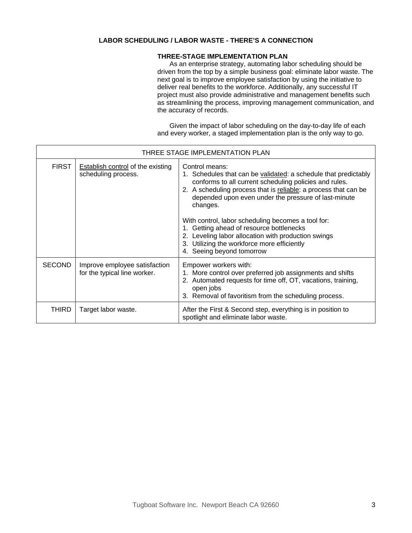#### **THREE-STAGE IMPLEMENTATION PLAN**

As an enterprise strategy, automating labor scheduling should be driven from the top by a simple business goal: eliminate labor waste. The next goal is to improve employee satisfaction by using the initiative to deliver real benefits to the workforce. Additionally, any successful IT project must also provide administrative and management benefits such as streamlining the process, improving management communication, and the accuracy of records.

Given the impact of labor scheduling on the day-to-day life of each and every worker, a staged implementation plan is the only way to go.

| THREE STAGE IMPLEMENTATION PLAN |                                                                 |                                                                                                                                                                                                                                                                                                                                                                                                                                                                                                                         |
|---------------------------------|-----------------------------------------------------------------|-------------------------------------------------------------------------------------------------------------------------------------------------------------------------------------------------------------------------------------------------------------------------------------------------------------------------------------------------------------------------------------------------------------------------------------------------------------------------------------------------------------------------|
| <b>FIRST</b>                    | <b>Establish control of the existing</b><br>scheduling process. | Control means:<br>1. Schedules that can be validated: a schedule that predictably<br>conforms to all current scheduling policies and rules.<br>2. A scheduling process that is reliable: a process that can be<br>depended upon even under the pressure of last-minute<br>changes.<br>With control, labor scheduling becomes a tool for:<br>1. Getting ahead of resource bottlenecks<br>2. Leveling labor allocation with production swings<br>3. Utilizing the workforce more efficiently<br>4. Seeing beyond tomorrow |
| <b>SECOND</b>                   | Improve employee satisfaction<br>for the typical line worker.   | Empower workers with:<br>1. More control over preferred job assignments and shifts<br>2. Automated requests for time off, OT, vacations, training,<br>open jobs<br>3. Removal of favoritism from the scheduling process.                                                                                                                                                                                                                                                                                                |
| THIRD                           | Target labor waste.                                             | After the First & Second step, everything is in position to<br>spotlight and eliminate labor waste.                                                                                                                                                                                                                                                                                                                                                                                                                     |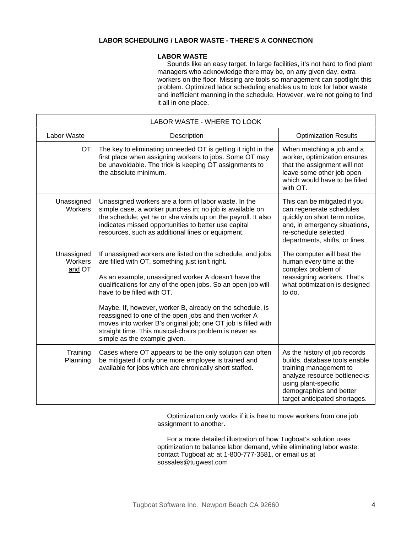#### **LABOR WASTE**

Sounds like an easy target. In large facilities, it's not hard to find plant managers who acknowledge there may be, on any given day, extra workers on the floor. Missing are tools so management can spotlight this problem. Optimized labor scheduling enables us to look for labor waste and inefficient manning in the schedule. However, we're not going to find it all in one place.

| LABOR WASTE - WHERE TO LOOK     |                                                                                                                                                                                                                                                                                                                                                                                                                                                                                                                                                    |                                                                                                                                                                                                              |  |  |
|---------------------------------|----------------------------------------------------------------------------------------------------------------------------------------------------------------------------------------------------------------------------------------------------------------------------------------------------------------------------------------------------------------------------------------------------------------------------------------------------------------------------------------------------------------------------------------------------|--------------------------------------------------------------------------------------------------------------------------------------------------------------------------------------------------------------|--|--|
| Labor Waste                     | Description                                                                                                                                                                                                                                                                                                                                                                                                                                                                                                                                        | <b>Optimization Results</b>                                                                                                                                                                                  |  |  |
| <b>OT</b>                       | The key to eliminating unneeded OT is getting it right in the<br>first place when assigning workers to jobs. Some OT may<br>be unavoidable. The trick is keeping OT assignments to<br>the absolute minimum.                                                                                                                                                                                                                                                                                                                                        | When matching a job and a<br>worker, optimization ensures<br>that the assignment will not<br>leave some other job open<br>which would have to be filled<br>with OT.                                          |  |  |
| Unassigned<br>Workers           | Unassigned workers are a form of labor waste. In the<br>simple case, a worker punches in; no job is available on<br>the schedule; yet he or she winds up on the payroll. It also<br>indicates missed opportunities to better use capital<br>resources, such as additional lines or equipment.                                                                                                                                                                                                                                                      | This can be mitigated if you<br>can regenerate schedules<br>quickly on short term notice,<br>and, in emergency situations,<br>re-schedule selected<br>departments, shifts, or lines.                         |  |  |
| Unassigned<br>Workers<br>and OT | If unassigned workers are listed on the schedule, and jobs<br>are filled with OT, something just isn't right.<br>As an example, unassigned worker A doesn't have the<br>qualifications for any of the open jobs. So an open job will<br>have to be filled with OT.<br>Maybe. If, however, worker B, already on the schedule, is<br>reassigned to one of the open jobs and then worker A<br>moves into worker B's original job; one OT job is filled with<br>straight time. This musical-chairs problem is never as<br>simple as the example given. | The computer will beat the<br>human every time at the<br>complex problem of<br>reassigning workers. That's<br>what optimization is designed<br>to do.                                                        |  |  |
| Training<br>Planning            | Cases where OT appears to be the only solution can often<br>be mitigated if only one more employee is trained and<br>available for jobs which are chronically short staffed.                                                                                                                                                                                                                                                                                                                                                                       | As the history of job records<br>builds, database tools enable<br>training management to<br>analyze resource bottlenecks<br>using plant-specific<br>demographics and better<br>target anticipated shortages. |  |  |

Optimization only works if it is free to move workers from one job assignment to another.

For a more detailed illustration of how Tugboat's solution uses optimization to balance labor demand, while eliminating labor waste: contact Tugboat at: at 1-800-777-3581, or email us at sossales@tugwest.com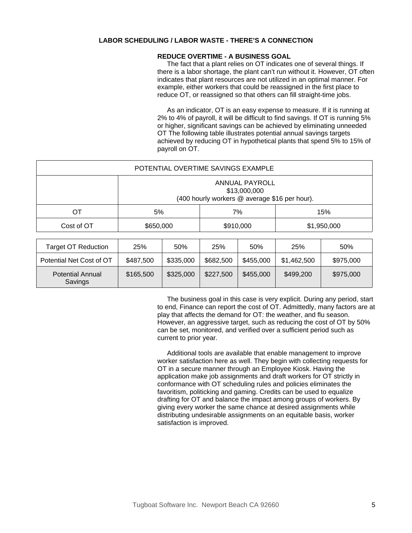#### **REDUCE OVERTIME - A BUSINESS GOAL**

The fact that a plant relies on OT indicates one of several things. If there is a labor shortage, the plant can't run without it. However, OT often indicates that plant resources are not utilized in an optimal manner. For example, either workers that could be reassigned in the first place to reduce OT, or reassigned so that others can fill straight-time jobs.

As an indicator, OT is an easy expense to measure. If it is running at 2% to 4% of payroll, it will be difficult to find savings. If OT is running 5% or higher, significant savings can be achieved by eliminating unneeded OT The following table illustrates potential annual savings targets achieved by reducing OT in hypothetical plants that spend 5% to 15% of payroll on OT.

| POTENTIAL OVERTIME SAVINGS EXAMPLE |                                                                                        |           |             |
|------------------------------------|----------------------------------------------------------------------------------------|-----------|-------------|
|                                    | <b>ANNUAL PAYROLL</b><br>\$13,000,000<br>(400 hourly workers @ average \$16 per hour). |           |             |
| OТ                                 | 5%                                                                                     | 7%        | 15%         |
| Cost of OT                         | \$650,000                                                                              | \$910,000 | \$1,950,000 |

| Target OT Reduction                | 25%       | 50%       | 25%       | 50%       | 25%         | 50%       |
|------------------------------------|-----------|-----------|-----------|-----------|-------------|-----------|
| Potential Net Cost of OT           | \$487,500 | \$335,000 | \$682,500 | \$455,000 | \$1,462,500 | \$975,000 |
| <b>Potential Annual</b><br>Savings | \$165,500 | \$325,000 | \$227,500 | \$455,000 | \$499.200   | \$975,000 |

The business goal in this case is very explicit. During any period, start to end, Finance can report the cost of OT. Admittedly, many factors are at play that affects the demand for OT: the weather, and flu season. However, an aggressive target, such as reducing the cost of OT by 50% can be set, monitored, and verified over a sufficient period such as current to prior year.

Additional tools are available that enable management to improve worker satisfaction here as well. They begin with collecting requests for OT in a secure manner through an Employee Kiosk. Having the application make job assignments and draft workers for OT strictly in conformance with OT scheduling rules and policies eliminates the favoritism, politicking and gaming. Credits can be used to equalize drafting for OT and balance the impact among groups of workers. By giving every worker the same chance at desired assignments while distributing undesirable assignments on an equitable basis, worker satisfaction is improved.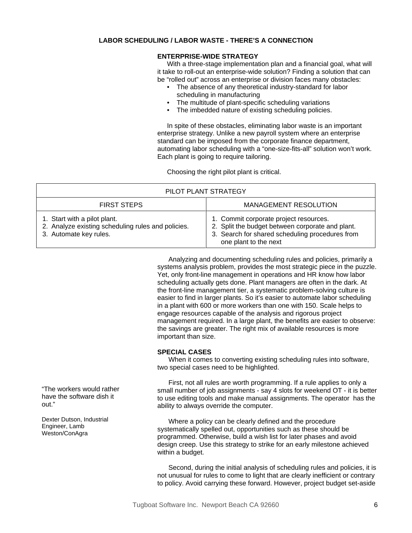#### **ENTERPRISE-WIDE STRATEGY**

With a three-stage implementation plan and a financial goal, what will it take to roll-out an enterprise-wide solution? Finding a solution that can be "rolled out" across an enterprise or division faces many obstacles:

- The absence of any theoretical industry-standard for labor scheduling in manufacturing
- The multitude of plant-specific scheduling variations
- The imbedded nature of existing scheduling policies.

In spite of these obstacles, eliminating labor waste is an important enterprise strategy. Unlike a new payroll system where an enterprise standard can be imposed from the corporate finance department, automating labor scheduling with a "one-size-fits-all" solution won't work. Each plant is going to require tailoring.

Choosing the right pilot plant is critical.

| PILOT PLANT STRATEGY                                                                                         |                                                                                                                                                                        |  |
|--------------------------------------------------------------------------------------------------------------|------------------------------------------------------------------------------------------------------------------------------------------------------------------------|--|
| <b>FIRST STEPS</b>                                                                                           | <b>MANAGEMENT RESOLUTION</b>                                                                                                                                           |  |
| 1. Start with a pilot plant.<br>2. Analyze existing scheduling rules and policies.<br>3. Automate key rules. | 1. Commit corporate project resources.<br>2. Split the budget between corporate and plant.<br>3. Search for shared scheduling procedures from<br>one plant to the next |  |

Analyzing and documenting scheduling rules and policies, primarily a systems analysis problem, provides the most strategic piece in the puzzle. Yet, only front-line management in operations and HR know how labor scheduling actually gets done. Plant managers are often in the dark. At the front-line management tier, a systematic problem-solving culture is easier to find in larger plants. So it's easier to automate labor scheduling in a plant with 600 or more workers than one with 150. Scale helps to engage resources capable of the analysis and rigorous project management required. In a large plant, the benefits are easier to observe: the savings are greater. The right mix of available resources is more important than size.

#### **SPECIAL CASES**

When it comes to converting existing scheduling rules into software, two special cases need to be highlighted.

First, not all rules are worth programming. If a rule applies to only a small number of job assignments - say 4 slots for weekend OT - it is better to use editing tools and make manual assignments. The operator has the ability to always override the computer.

Where a policy can be clearly defined and the procedure systematically spelled out, opportunities such as these should be programmed. Otherwise, build a wish list for later phases and avoid design creep. Use this strategy to strike for an early milestone achieved within a budget.

Second, during the initial analysis of scheduling rules and policies, it is not unusual for rules to come to light that are clearly inefficient or contrary to policy. Avoid carrying these forward. However, project budget set-aside

"The workers would rather have the software dish it out."

Dexter Dutson, Industrial Engineer, Lamb Weston/ConAgra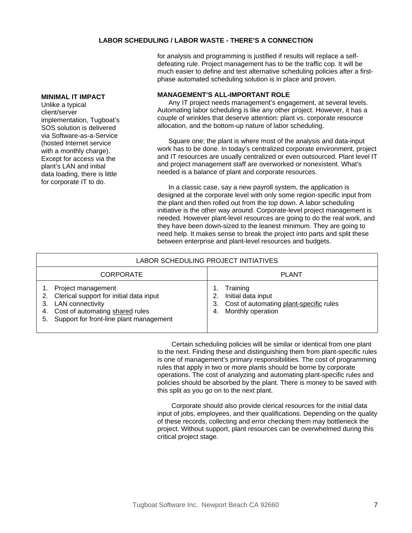for analysis and programming is justified if results will replace a selfdefeating rule. Project management has to be the traffic cop. It will be much easier to define and test alternative scheduling policies after a firstphase automated scheduling solution is in place and proven.

#### **MANAGEMENT'S ALL-IMPORTANT ROLE**

Any IT project needs management's engagement, at several levels. Automating labor scheduling is like any other project. However, it has a couple of wrinkles that deserve attention: plant vs. corporate resource allocation, and the bottom-up nature of labor scheduling.

Square one; the plant is where most of the analysis and data-input work has to be done. In today's centralized corporate environment, project and IT resources are usually centralized or even outsourced. Plant level IT and project management staff are overworked or nonexistent. What's needed is a balance of plant and corporate resources.

In a classic case, say a new payroll system, the application is designed at the corporate level with only some region-specific input from the plant and then rolled out from the top down. A labor scheduling initiative is the other way around. Corporate-level project management is needed. However plant-level resources are going to do the real work, and they have been down-sized to the leanest minimum. They are going to need help. It makes sense to break the project into parts and split these between enterprise and plant-level resources and budgets.

| LABOR SCHEDULING PROJECT INITIATIVES                                                                                                                                                     |                                                                                                      |  |  |
|------------------------------------------------------------------------------------------------------------------------------------------------------------------------------------------|------------------------------------------------------------------------------------------------------|--|--|
| <b>CORPORATE</b>                                                                                                                                                                         | <b>PLANT</b>                                                                                         |  |  |
| Project management<br>Clerical support for initial data input<br>2.<br><b>LAN</b> connectivity<br>3.<br>4. Cost of automating shared rules<br>5. Support for front-line plant management | Training<br>Initial data input<br>3. Cost of automating plant-specific rules<br>4. Monthly operation |  |  |

Certain scheduling policies will be similar or identical from one plant to the next. Finding these and distinguishing them from plant-specific rules is one of management's primary responsibilities. The cost of programming rules that apply in two or more plants should be borne by corporate operations. The cost of analyzing and automating plant-specific rules and policies should be absorbed by the plant. There is money to be saved with this split as you go on to the next plant.

Corporate should also provide clerical resources for the initial data input of jobs, employees, and their qualifications. Depending on the quality of these records, collecting and error checking them may bottleneck the project. Without support, plant resources can be overwhelmed during this critical project stage.

#### **MINIMAL IT IMPACT**

Unlike a typical client/server implementation, Tugboat's SOS solution is delivered via Software-as-a-Service (hosted Internet service with a monthly charge). Except for access via the plant's LAN and initial data loading, there is little for corporate IT to do.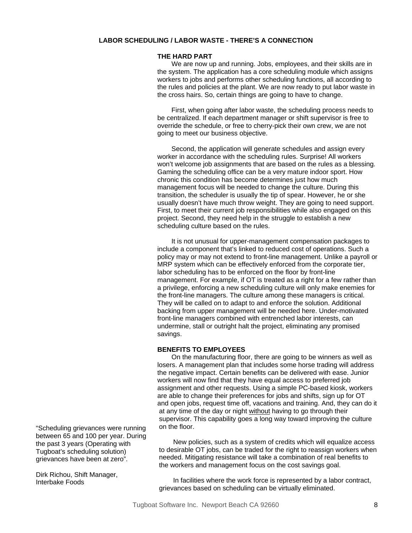#### **THE HARD PART**

We are now up and running. Jobs, employees, and their skills are in the system. The application has a core scheduling module which assigns workers to jobs and performs other scheduling functions, all according to the rules and policies at the plant. We are now ready to put labor waste in the cross hairs. So, certain things are going to have to change.

First, when going after labor waste, the scheduling process needs to be centralized. If each department manager or shift supervisor is free to override the schedule, or free to cherry-pick their own crew, we are not going to meet our business objective.

Second, the application will generate schedules and assign every worker in accordance with the scheduling rules. Surprise! All workers won't welcome job assignments that are based on the rules as a blessing. Gaming the scheduling office can be a very mature indoor sport. How chronic this condition has become determines just how much management focus will be needed to change the culture. During this transition, the scheduler is usually the tip of spear. However, he or she usually doesn't have much throw weight. They are going to need support. First, to meet their current job responsibilities while also engaged on this project. Second, they need help in the struggle to establish a new scheduling culture based on the rules.

It is not unusual for upper-management compensation packages to include a component that's linked to reduced cost of operations. Such a policy may or may not extend to front-line management. Unlike a payroll or MRP system which can be effectively enforced from the corporate tier, labor scheduling has to be enforced on the floor by front-line management. For example, if OT is treated as a right for a few rather than a privilege, enforcing a new scheduling culture will only make enemies for the front-line managers. The culture among these managers is critical. They will be called on to adapt to and enforce the solution. Additional backing from upper management will be needed here. Under-motivated front-line managers combined with entrenched labor interests, can undermine, stall or outright halt the project, eliminating any promised savings.

#### **BENEFITS TO EMPLOYEES**

On the manufacturing floor, there are going to be winners as well as losers. A management plan that includes some horse trading will address the negative impact. Certain benefits can be delivered with ease. Junior workers will now find that they have equal access to preferred job assignment and other requests. Using a simple PC-based kiosk, workers are able to change their preferences for jobs and shifts, sign up for OT and open jobs, request time off, vacations and training. And, they can do it at any time of the day or night without having to go through their supervisor. This capability goes a long way toward improving the culture on the floor.

New policies, such as a system of credits which will equalize access to desirable OT jobs, can be traded for the right to reassign workers when needed. Mitigating resistance will take a combination of real benefits to the workers and management focus on the cost savings goal.

In facilities where the work force is represented by a labor contract, grievances based on scheduling can be virtually eliminated.

"Scheduling grievances were running between 65 and 100 per year. During the past 3 years (Operating with Tugboat's scheduling solution) grievances have been at zero".

Dirk Richou, Shift Manager, Interbake Foods